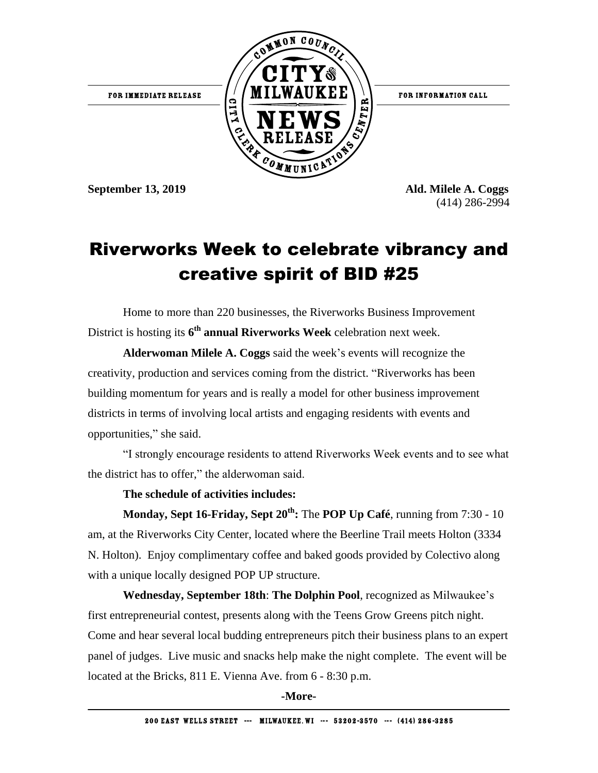

FOR INFORMATION CALL

**September 13, 2019 Ald. Milele A. Coggs**

(414) 286-2994

## Riverworks Week to celebrate vibrancy and creative spirit of BID #25

Home to more than 220 businesses, the Riverworks Business Improvement District is hosting its **6 th annual Riverworks Week** celebration next week.

**Alderwoman Milele A. Coggs** said the week's events will recognize the creativity, production and services coming from the district. "Riverworks has been building momentum for years and is really a model for other business improvement districts in terms of involving local artists and engaging residents with events and opportunities," she said.

"I strongly encourage residents to attend Riverworks Week events and to see what the district has to offer," the alderwoman said.

**The schedule of activities includes:**

**Monday, Sept 16-Friday, Sept 20th:** The **POP Up Café**, running from 7:30 - 10 am, at the Riverworks City Center, located where the Beerline Trail meets Holton (3334 N. Holton). Enjoy complimentary coffee and baked goods provided by Colectivo along with a unique locally designed POP UP structure.

**Wednesday, September 18th**: **The Dolphin Pool**, recognized as Milwaukee's first entrepreneurial contest, presents along with the Teens Grow Greens pitch night. Come and hear several local budding entrepreneurs pitch their business plans to an expert panel of judges. Live music and snacks help make the night complete. The event will be located at the Bricks, 811 E. Vienna Ave. from 6 - 8:30 p.m.

**-More-**